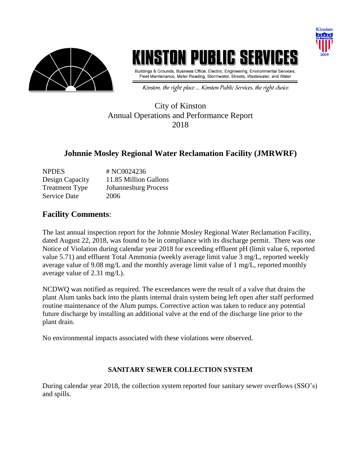

# ISTON PUBLIG SERV

Buildings & Grounds, Business Office, Electric, Engineering, Environmental Services, Fleet Maintenance, Meter Reading, Stormwater, Streets, Wastewater, and Water

**Kinston** 

Kinston, the right place ... Kinston Public Services, the right choice.

#### City of Kinston Annual Operations and Performance Report 2018

### **Johnnie Mosley Regional Water Reclamation Facility (JMRWRF)**

| <b>NPDES</b>          | # NC0024236                 |
|-----------------------|-----------------------------|
| Design Capacity       | 11.85 Million Gallons       |
| <b>Treatment Type</b> | <b>Johannesburg Process</b> |
| <b>Service Date</b>   | 2006                        |

#### **Facility Comments**:

The last annual inspection report for the Johnnie Mosley Regional Water Reclamation Facility, dated August 22, 2018, was found to be in compliance with its discharge permit. There was one Notice of Violation during calendar year 2018 for exceeding effluent pH (limit value 6, reported value 5.71) and effluent Total Ammonia (weekly average limit value 3 mg/L, reported weekly average value of 9.08 mg/L and the monthly average limit value of 1 mg/L, reported monthly average value of 2.31 mg/L).

NCDWQ was notified as required. The exceedances were the result of a valve that drains the plant Alum tanks back into the plants internal drain system being left open after staff performed routine maintenance of the Alum pumps. Corrective action was taken to reduce any potential future discharge by installing an additional valve at the end of the discharge line prior to the plant drain.

No environmental impacts associated with these violations were observed.

#### **SANITARY SEWER COLLECTION SYSTEM**

During calendar year 2018, the collection system reported four sanitary sewer overflows (SSO's) and spills.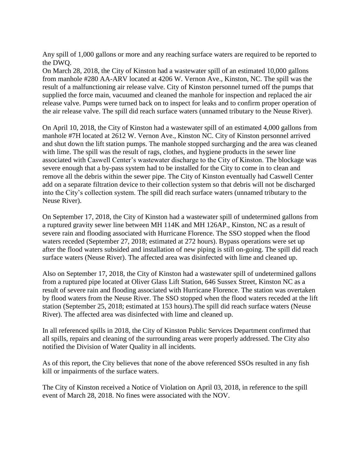Any spill of 1,000 gallons or more and any reaching surface waters are required to be reported to the DWQ.

On March 28, 2018, the City of Kinston had a wastewater spill of an estimated 10,000 gallons from manhole #280 AA-ARV located at 4206 W. Vernon Ave., Kinston, NC. The spill was the result of a malfunctioning air release valve. City of Kinston personnel turned off the pumps that supplied the force main, vacuumed and cleaned the manhole for inspection and replaced the air release valve. Pumps were turned back on to inspect for leaks and to confirm proper operation of the air release valve. The spill did reach surface waters (unnamed tributary to the Neuse River).

On April 10, 2018, the City of Kinston had a wastewater spill of an estimated 4,000 gallons from manhole #7H located at 2612 W. Vernon Ave., Kinston NC. City of Kinston personnel arrived and shut down the lift station pumps. The manhole stopped surcharging and the area was cleaned with lime. The spill was the result of rags, clothes, and hygiene products in the sewer line associated with Caswell Center's wastewater discharge to the City of Kinston. The blockage was severe enough that a by-pass system had to be installed for the City to come in to clean and remove all the debris within the sewer pipe. The City of Kinston eventually had Caswell Center add on a separate filtration device to their collection system so that debris will not be discharged into the City's collection system. The spill did reach surface waters (unnamed tributary to the Neuse River).

On September 17, 2018, the City of Kinston had a wastewater spill of undetermined gallons from a ruptured gravity sewer line between MH 114K and MH 126AP., Kinston, NC as a result of severe rain and flooding associated with Hurricane Florence. The SSO stopped when the flood waters receded (September 27, 2018; estimated at 272 hours). Bypass operations were set up after the flood waters subsided and installation of new piping is still on-going. The spill did reach surface waters (Neuse River). The affected area was disinfected with lime and cleaned up.

Also on September 17, 2018, the City of Kinston had a wastewater spill of undetermined gallons from a ruptured pipe located at Oliver Glass Lift Station, 646 Sussex Street, Kinston NC as a result of severe rain and flooding associated with Hurricane Florence. The station was overtaken by flood waters from the Neuse River. The SSO stopped when the flood waters receded at the lift station (September 25, 2018; estimated at 153 hours).The spill did reach surface waters (Neuse River). The affected area was disinfected with lime and cleaned up.

In all referenced spills in 2018, the City of Kinston Public Services Department confirmed that all spills, repairs and cleaning of the surrounding areas were properly addressed. The City also notified the Division of Water Quality in all incidents.

As of this report, the City believes that none of the above referenced SSOs resulted in any fish kill or impairments of the surface waters.

The City of Kinston received a Notice of Violation on April 03, 2018, in reference to the spill event of March 28, 2018. No fines were associated with the NOV.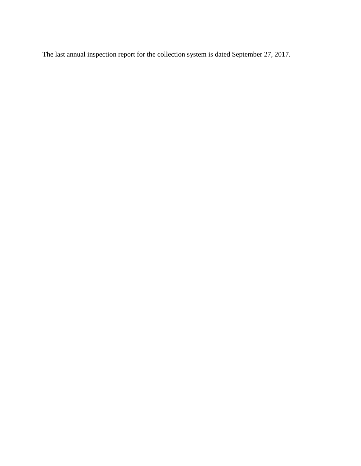The last annual inspection report for the collection system is dated September 27, 2017.